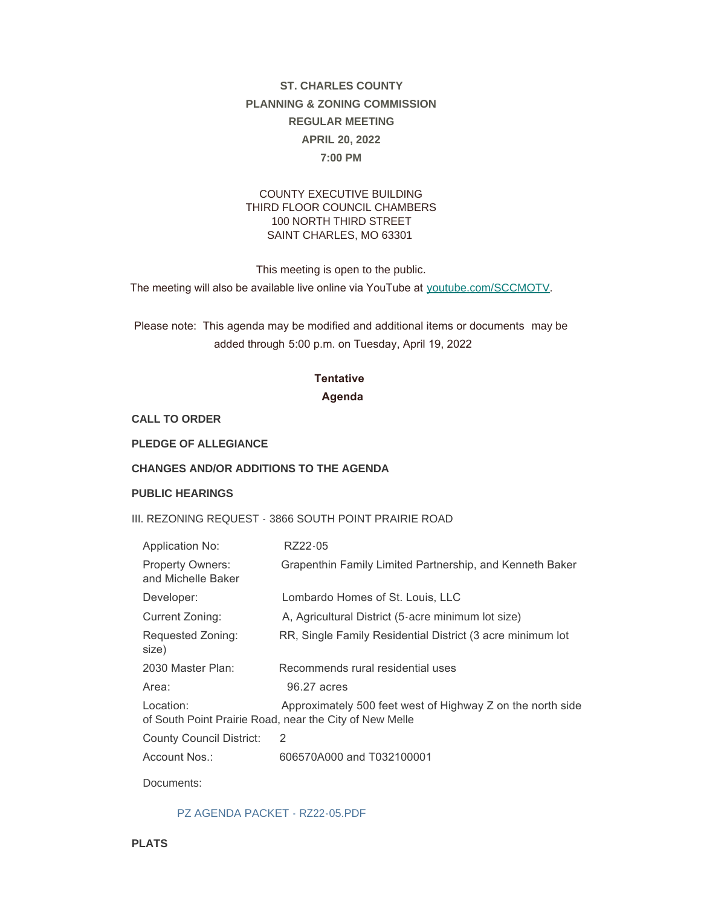# **ST. CHARLES COUNTY PLANNING & ZONING COMMISSION REGULAR MEETING APRIL 20, 2022 7:00 PM**

#### COUNTY EXECUTIVE BUILDING THIRD FLOOR COUNCIL CHAMBERS 100 NORTH THIRD STREET SAINT CHARLES, MO 63301

This meeting is open to the public.

The meeting will also be available live online via YouTube at [youtube.com/SCCMOTV](https://www.youtube.com/user/SCCMOTV).

 Please note: This agenda may be modified and additional items or documents may be added through 5:00 p.m. on Tuesday, April 19, 2022

## **Tentative Agenda**

**CALL TO ORDER**

**PLEDGE OF ALLEGIANCE**

#### **CHANGES AND/OR ADDITIONS TO THE AGENDA**

#### **PUBLIC HEARINGS**

III. REZONING REQUEST - 3866 SOUTH POINT PRAIRIE ROAD

| <b>Application No:</b>                        | RZ22-05                                                                                                               |
|-----------------------------------------------|-----------------------------------------------------------------------------------------------------------------------|
| <b>Property Owners:</b><br>and Michelle Baker | Grapenthin Family Limited Partnership, and Kenneth Baker                                                              |
| Developer:                                    | Lombardo Homes of St. Louis, LLC                                                                                      |
| Current Zoning:                               | A, Agricultural District (5-acre minimum lot size)                                                                    |
| Requested Zoning:<br>size)                    | RR, Single Family Residential District (3 acre minimum lot                                                            |
| 2030 Master Plan:                             | Recommends rural residential uses                                                                                     |
| Area:                                         | 96.27 acres                                                                                                           |
| Location:                                     | Approximately 500 feet west of Highway Z on the north side<br>of South Point Prairie Road, near the City of New Melle |
| <b>County Council District:</b>               | 2                                                                                                                     |
| Account Nos.:                                 | 606570A000 and T032100001                                                                                             |

Documents:

#### [PZ AGENDA PACKET - RZ22-05.PDF](https://www.sccmo.org/AgendaCenter/ViewFile/Item/10769?fileID=32024)